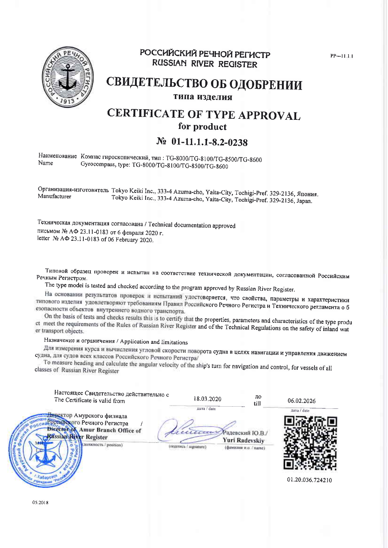

## РОССИЙСКИЙ РЕЧНОЙ РЕГИСТР **RUSSIAN RIVER REGISTER**

 $PP - 11.11$ 

## СВИДЕТЕЛЬСТВО ОБ ОДОБРЕНИИ типа изделия

## **CERTIFICATE OF TYPE APPROVAL** for product

## $N_2$  01-11.1.1-8.2-0238

Наименование Компас гироскопический, тип: TG-8000/TG-8100/TG-8500/TG-8600 Name Gyrocompass, type: TG-8000/TG-8100/TG-8500/TG-8600

Организация-изготовитель Tokyo Keiki Inc., 333-4 Azuma-cho, Yaita-City, Tochigi-Pref. 329-2136, Япония. Manufacturer Tokyo Keiki Inc., 333-4 Azuma-cho, Yaita-City, Tochigi-Pref. 329-2136, Japan.

Техническая документация согласована / Technical documentation approved письмом № АФ 23.11-0183 от 6 февраля 2020 г. letter Nº AΦ 23.11-0183 of 06 February 2020.

Типовой образец проверен и испытан на соответствие технической документации, согласованной Российским Речным Регистром.

The type model is tested and checked according to the program approved by Russian River Register.

На основании результатов проверок и испытаний удостоверяется, что свойства, параметры и характеристики типового изделия удовлетворяют требованиям Правил Российского Речного Регистра и Технического регламента о б езопасности объектов внутреннего водного транспорта.

On the basis of tests and checks results this is to certify that the properties, parameters and characteristics of the type produ et meet the requirements of the Rules of Russian River Register and of the Technical Regulations on the safety of inland wat er transport objects.

## Назначение и ограничения / Application and limitations

Для измерения курса и вычисления угловой скорости поворота судна в целях навигации и управления движением судна, для судов всех классов Российского Речного Регистра/

To measure heading and calculate the angular velocity of the ship's turn for navigation and control, for vessels of all classes of Russian River Register

| Настоящее Свидетельство действительно с<br>The Certificate is valid from                                                                                              | 18.03.2020                          | до<br>till                                                        | 06.02.2026                      |
|-----------------------------------------------------------------------------------------------------------------------------------------------------------------------|-------------------------------------|-------------------------------------------------------------------|---------------------------------|
| <del>Директ</del> ор Амурского филиала<br>Российского Речного Регистра<br><b>Director of Amur Branch Office of</b><br>Mssian River Register<br>(должность / position) | дата / date<br>(подпись / squature) | селение Радевский Ю.В.<br>Yuri Radevskiy<br>(фамилии и.о. / name) | дата / date<br>01.20.036.724210 |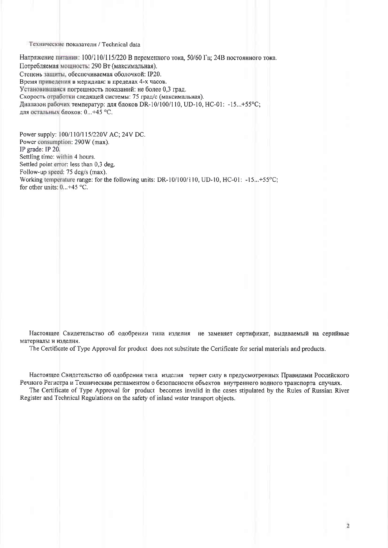#### Технические показатели / Technical data

Напряжение питания: 100/110/115/220 В переменного тока, 50/60 Гц; 24В постоянного тока. Потребляемая мощность: 290 Вт (максимальная). Степень защиты, обеспечиваемая оболочкой: IP20. Время приведения в меридиан: в пределах 4-х часов. Установившаяся погрешность показаний: не более 0,3 град. Скорость отработки следящей системы: 75 град/с (максимальная). Диапазон рабочих температур: для блоков DR-10/100/110, UD-10, HC-01: -15...+55°С; для остальных блоков: 0...+45 °С.

Power supply: 100/110/115/220V AC; 24V DC. Power consumption: 290W (max). IP grade: IP 20. Settling time: within 4 hours. Settled point error: less than 0,3 deg. Follow-up speed: 75 deg/s (max). Working temperature range: for the following units: DR-10/100/110, UD-10, HC-01: -15...+55°C: for other units:  $0...+45$  °C.

Настоящее Свидетельство об одобрении типа изделия не заменяет сертификат, выдаваемый на серийные материалы и изделия.

The Certificate of Type Approval for product does not substitute the Certificate for serial materials and products.

Настоящее Свидетельство об одобрении типа изделия теряет силу в предусмотренных Правилами Российского Речного Регистра и Техническим регламентом о безопасности объектов внутреннего водного транспорта случаях.

The Certificate of Type Approval for product becomes invalid in the cases stipulated by the Rules of Russian River Register and Technical Regulations on the safety of inland water transport objects.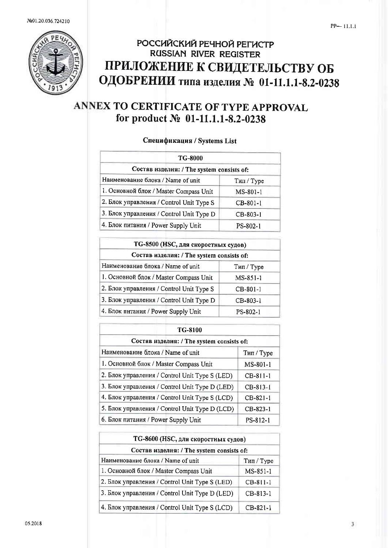

# РОССИЙСКИЙ РЕЧНОЙ РЕГИСТР RUSSIAN RIVER REGISTER ПРИЛОЖЕНИЕ К СВИДЕТЕЛЬСТВУ ОБ ОДОБРЕНИИ типа изделия № 01-11.1.1-8.2-0238

# ANNEX TO CERTIFICATE OF TYPE APPROVAL for product № 01-11.1.1-8.2-0238

### Спецификация / Systems List

| <b>TG-8000</b>                            |            |
|-------------------------------------------|------------|
| Состав изделия: / The system consists of: |            |
| Наименование блока / Name of unit         | Тип / Туре |
| 1. Основной блок / Master Compass Unit    | $MS-801-1$ |
| 2. Блок управления / Control Unit Type S  | $CB-801-1$ |
| 3. Блок управления / Control Unit Type D  | $CB-803-1$ |
| 4. Блок питания / Power Supply Unit       | PS-802-1   |

| ТG-8500 (HSC, для скоростных судов)<br>Состав изделия: / The system consists of: |            |  |
|----------------------------------------------------------------------------------|------------|--|
|                                                                                  |            |  |
| 1. Основной блок / Master Compass Unit                                           | MS-851-1   |  |
| 2. Блок управления / Control Unit Type S                                         | $CB-801-1$ |  |
| 3. Блок управления / Control Unit Type D                                         | CB-803-1   |  |
| 4. Блок питания / Power Supply Unit                                              | PS-802-1   |  |

| TG-8100                                        |            |  |
|------------------------------------------------|------------|--|
| Состав изделия: / The system consists of:      |            |  |
| Наименование блока / Name of unit              | Тип / Туре |  |
| 1. Основной блок / Master Compass Unit         | $MS-801-1$ |  |
| 2. Блок управления / Control Unit Type S (LED) | $CB-811-1$ |  |
| 3. Блок управления / Control Unit Type D (LED) | $CB-813-1$ |  |
| 4. Блок управления / Control Unit Type S (LCD) | $CB-821-1$ |  |
| 5. Блок управления / Control Unit Type D (LCD) | $CB-823-1$ |  |
| 6. Блок питания / Power Supply Unit            | PS-812-1   |  |

| ТG-8600 (НSC, для скоростных судов)<br>Состав изделия: / The system consists of: |            |  |
|----------------------------------------------------------------------------------|------------|--|
|                                                                                  |            |  |
| 1. Основной блок / Master Compass Unit                                           | MS-851-1   |  |
| 2. Блок управления / Control Unit Type S (LED)                                   | $CB-811-1$ |  |
| 3. Блок управления / Control Unit Type D (LED)                                   | $CB-813-1$ |  |
| 4. Блок управления / Control Unit Type S (LCD)                                   | $CB-821-1$ |  |